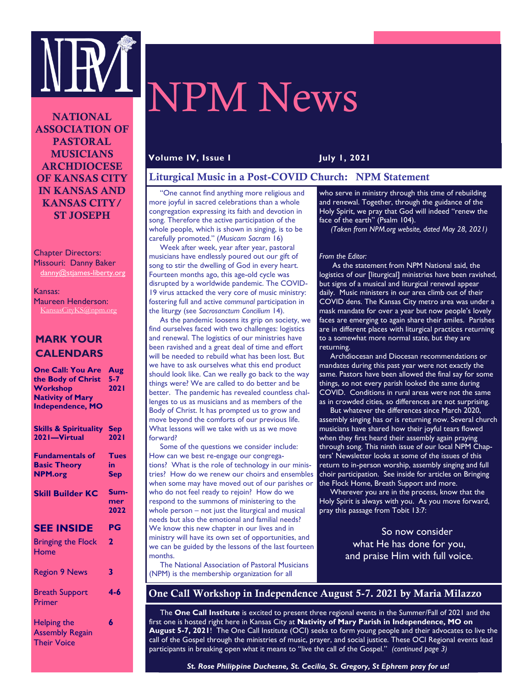

# NPM News

NATIONAL ASSOCIATION OF PASTORAL MUSICIANS ARCHDIOCESE OF KANSAS CITY IN KANSAS AND KANSAS CITY/ ST JOSEPH

Chapter Directors: Missouri: Danny Baker danny@stjames-liberty.org

Kansas: Maureen Henderson: KansasCityKS@npm.org

## **MARK YOUR CALENDARS**

| <b>One Call: You Are</b><br>the Body of Christ<br><b>Workshop</b><br><b>Nativity of Mary</b><br><b>Independence, MO</b> | Aug<br>$5 - 7$<br><b>2021</b>   |
|-------------------------------------------------------------------------------------------------------------------------|---------------------------------|
| <b>Skills &amp; Spirituality</b><br>2021-Virtual                                                                        | <b>Sep</b><br><b>2021</b>       |
| <b>Fundamentals of</b><br><b>Basic Theory</b><br><b>NPM.org</b>                                                         | <b>Tues</b><br>in<br><b>Sep</b> |
| <b>Skill Builder KC</b>                                                                                                 | Sum-<br>mer<br>2022             |
| <b>SEE INSIDE</b>                                                                                                       | PG                              |
| <b>Bringing the Flock</b><br>Home                                                                                       | $\overline{2}$                  |
| <b>Region 9 News</b>                                                                                                    | 3                               |
| <b>Breath Support</b><br>Primer                                                                                         | $4 - 6$                         |
| <b>Helping the</b><br><b>Assembly Regain</b><br><b>Their Voice</b>                                                      | 6                               |

### **Volume IV, Issue I July 1, 2021**

### Liturgical Music in a Post-COVID Church: NPM Statement

 "One cannot find anything more religious and more joyful in sacred celebrations than a whole congregation expressing its faith and devotion in song. Therefore the active participation of the whole people, which is shown in singing, is to be carefully promoted." (*Musicam Sacram* 16)

 Week after week, year after year, pastoral musicians have endlessly poured out our gift of song to stir the dwelling of God in every heart. Fourteen months ago, this age-old cycle was disrupted by a worldwide pandemic. The COVID-19 virus attacked the very core of music ministry: fostering full and active *communal* participation in the liturgy (see *Sacrosanctum Concilium* 14).

 As the pandemic loosens its grip on society, we find ourselves faced with two challenges: logistics and renewal. The logistics of our ministries have been ravished and a great deal of time and effort will be needed to rebuild what has been lost. But we have to ask ourselves what this end product should look like. Can we really go back to the way things were? We are called to do better and be better. The pandemic has revealed countless challenges to us as musicians and as members of the Body of Christ. It has prompted us to grow and move beyond the comforts of our previous life. What lessons will we take with us as we move forward?

 Some of the questions we consider include: How can we best re-engage our congregations? What is the role of technology in our ministries? How do we renew our choirs and ensembles when some may have moved out of our parishes or who do not feel ready to rejoin? How do we respond to the summons of ministering to the whole person – not just the liturgical and musical needs but also the emotional and familial needs? We know this new chapter in our lives and in ministry will have its own set of opportunities, and we can be guided by the lessons of the last fourteen months.

 The National Association of Pastoral Musicians (NPM) is the membership organization for all

who serve in ministry through this time of rebuilding and renewal. Together, through the guidance of the Holy Spirit, we pray that God will indeed "renew the face of the earth" (Psalm 104).

*(Taken from NPM.org website, dated May 28, 2021)*

#### *From the Editor:*

 As the statement from NPM National said, the logistics of our [liturgical] ministries have been ravished, but signs of a musical and liturgical renewal appear daily. Music ministers in our area climb out of their COVID dens. The Kansas City metro area was under a mask mandate for over a year but now people's lovely faces are emerging to again share their smiles. Parishes are in different places with liturgical practices returning to a somewhat more normal state, but they are returning.

 Archdiocesan and Diocesan recommendations or mandates during this past year were not exactly the same. Pastors have been allowed the final say for some things, so not every parish looked the same during COVID. Conditions in rural areas were not the same as in crowded cities, so differences are not surprising.

 But whatever the differences since March 2020, assembly singing has or is returning now. Several church musicians have shared how their joyful tears flowed when they first heard their assembly again praying through song. This ninth issue of our local NPM Chapters' Newsletter looks at some of the issues of this return to in-person worship, assembly singing and full choir participation. See inside for articles on Bringing the Flock Home, Breath Support and more.

Wherever you are in the process, know that the  $^\dagger$ Holy Spirit is always with you. As you move forward, pray this passage from Tobit 13:7:

> So now consider what He has done for you, and praise Him with full voice.

## One Call Workshop in Independence August 5-7. 2021 by Maria Milazzo

 The **One Call Institute** is excited to present three regional events in the Summer/Fall of 2021 and the first one is hosted right here in Kansas City at **Nativity of Mary Parish in Independence, MO on August 5-7, 2021**! The One Call Institute (OCI) seeks to form young people and their advocates to live the call of the Gospel through the ministries of music, prayer, and social justice. These OCI Regional events lead participants in breaking open what it means to "live the call of the Gospel." *(continued page 3)*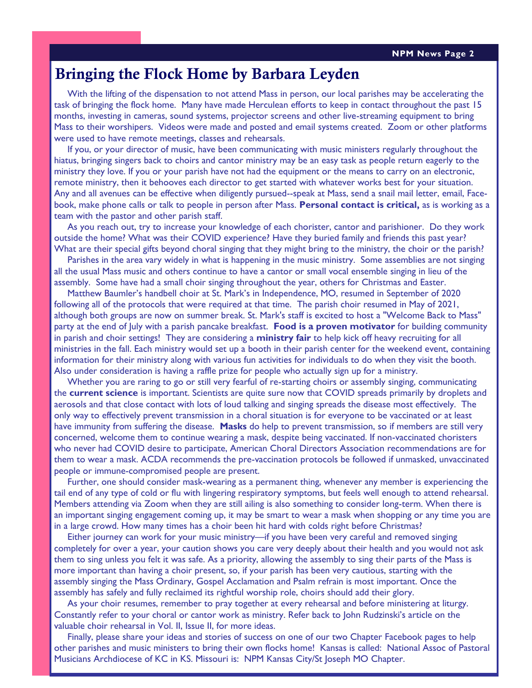# Bringing the Flock Home by Barbara Leyden

 With the lifting of the dispensation to not attend Mass in person, our local parishes may be accelerating the task of bringing the flock home. Many have made Herculean efforts to keep in contact throughout the past 15 months, investing in cameras, sound systems, projector screens and other live-streaming equipment to bring Mass to their worshipers. Videos were made and posted and email systems created. Zoom or other platforms were used to have remote meetings, classes and rehearsals.

 If you, or your director of music, have been communicating with music ministers regularly throughout the hiatus, bringing singers back to choirs and cantor ministry may be an easy task as people return eagerly to the ministry they love. If you or your parish have not had the equipment or the means to carry on an electronic, remote ministry, then it behooves each director to get started with whatever works best for your situation. Any and all avenues can be effective when diligently pursued--speak at Mass, send a snail mail letter, email, Facebook, make phone calls or talk to people in person after Mass. **Personal contact is critical,** as is working as a team with the pastor and other parish staff.

 As you reach out, try to increase your knowledge of each chorister, cantor and parishioner. Do they work outside the home? What was their COVID experience? Have they buried family and friends this past year? What are their special gifts beyond choral singing that they might bring to the ministry, the choir or the parish?

 Parishes in the area vary widely in what is happening in the music ministry. Some assemblies are not singing all the usual Mass music and others continue to have a cantor or small vocal ensemble singing in lieu of the assembly. Some have had a small choir singing throughout the year, others for Christmas and Easter.

 Matthew Baumler's handbell choir at St. Mark's in Independence, MO, resumed in September of 2020 following all of the protocols that were required at that time. The parish choir resumed in May of 2021, although both groups are now on summer break. St. Mark's staff is excited to host a "Welcome Back to Mass" party at the end of July with a parish pancake breakfast. **Food is a proven motivator** for building community in parish and choir settings! They are considering a **ministry fair** to help kick off heavy recruiting for all ministries in the fall. Each ministry would set up a booth in their parish center for the weekend event, containing information for their ministry along with various fun activities for individuals to do when they visit the booth. Also under consideration is having a raffle prize for people who actually sign up for a ministry.

 Whether you are raring to go or still very fearful of re-starting choirs or assembly singing, communicating the **current science** is important. Scientists are quite sure now that COVID spreads primarily by droplets and aerosols and that close contact with lots of loud talking and singing spreads the disease most effectively. The only way to effectively prevent transmission in a choral situation is for everyone to be vaccinated or at least have immunity from suffering the disease. **Masks** do help to prevent transmission, so if members are still very concerned, welcome them to continue wearing a mask, despite being vaccinated. If non-vaccinated choristers who never had COVID desire to participate, American Choral Directors Association recommendations are for them to wear a mask. ACDA recommends the pre-vaccination protocols be followed if unmasked, unvaccinated people or immune-compromised people are present.

 Further, one should consider mask-wearing as a permanent thing, whenever any member is experiencing the tail end of any type of cold or flu with lingering respiratory symptoms, but feels well enough to attend rehearsal. Members attending via Zoom when they are still ailing is also something to consider long-term. When there is an important singing engagement coming up, it may be smart to wear a mask when shopping or any time you are in a large crowd. How many times has a choir been hit hard with colds right before Christmas?

 Either journey can work for your music ministry—if you have been very careful and removed singing completely for over a year, your caution shows you care very deeply about their health and you would not ask them to sing unless you felt it was safe. As a priority, allowing the assembly to sing their parts of the Mass is more important than having a choir present, so, if your parish has been very cautious, starting with the assembly singing the Mass Ordinary, Gospel Acclamation and Psalm refrain is most important. Once the assembly has safely and fully reclaimed its rightful worship role, choirs should add their glory.

 As your choir resumes, remember to pray together at every rehearsal and before ministering at liturgy. Constantly refer to your choral or cantor work as ministry. Refer back to John Rudzinski's article on the valuable choir rehearsal in Vol. II, Issue II, for more ideas.

 Finally, please share your ideas and stories of success on one of our two Chapter Facebook pages to help other parishes and music ministers to bring their own flocks home! Kansas is called: National Assoc of Pastoral Musicians Archdiocese of KC in KS. Missouri is: NPM Kansas City/St Joseph MO Chapter.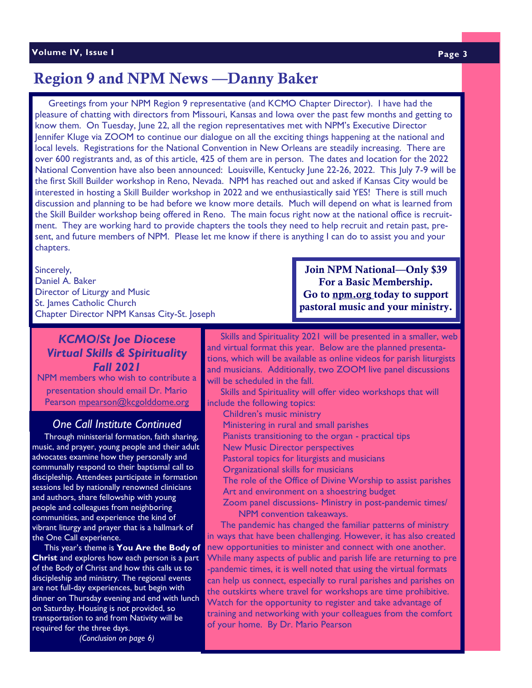# Region 9 and NPM News —Danny Baker

 Greetings from your NPM Region 9 representative (and KCMO Chapter Director). I have had the pleasure of chatting with directors from Missouri, Kansas and Iowa over the past few months and getting to know them. On Tuesday, June 22, all the region representatives met with NPM's Executive Director Jennifer Kluge via ZOOM to continue our dialogue on all the exciting things happening at the national and local levels. Registrations for the National Convention in New Orleans are steadily increasing. There are over 600 registrants and, as of this article, 425 of them are in person. The dates and location for the 2022 National Convention have also been announced: Louisville, Kentucky June 22-26, 2022. This July 7-9 will be the first Skill Builder workshop in Reno, Nevada. NPM has reached out and asked if Kansas City would be interested in hosting a Skill Builder workshop in 2022 and we enthusiastically said YES! There is still much discussion and planning to be had before we know more details. Much will depend on what is learned from the Skill Builder workshop being offered in Reno. The main focus right now at the national office is recruitment. They are working hard to provide chapters the tools they need to help recruit and retain past, present, and future members of NPM. Please let me know if there is anything I can do to assist you and your chapters.

Sincerely, Daniel A. Baker Director of Liturgy and Music St. James Catholic Church Chapter Director NPM Kansas City-St. Joseph

## Join NPM National—Only \$39 For a Basic Membership. Go to npm.org today to support pastoral music and your ministry.

*KCMO/St Joe Diocese Virtual Skills & Spirituality Fall 2021*  NPM members who wish to contribute a

presentation should email Dr. Mario Pearson [mpearson@kcgolddome.org](about:blank)

## *One Call Institute Continued*

 Through ministerial formation, faith sharing, music, and prayer, young people and their adult advocates examine how they personally and communally respond to their baptismal call to discipleship. Attendees participate in formation sessions led by nationally renowned clinicians and authors, share fellowship with young people and colleagues from neighboring communities, and experience the kind of vibrant liturgy and prayer that is a hallmark of the One Call experience.

 This year's theme is **You Are the Body of Christ** and explores how each person is a part of the Body of Christ and how this calls us to discipleship and ministry. The regional events are not full-day experiences, but begin with dinner on Thursday evening and end with lunch on Saturday. Housing is not provided, so transportation to and from Nativity will be required for the three days.

*(Conclusion on page 6)*

 Skills and Spirituality 2021 will be presented in a smaller, web and virtual format this year. Below are the planned presentations, which will be available as online videos for parish liturgists and musicians. Additionally, two ZOOM live panel discussions will be scheduled in the fall.

 Skills and Spirituality will offer video workshops that will include the following topics:

Children's music ministry

Ministering in rural and small parishes

Pianists transitioning to the organ - practical tips

New Music Director perspectives

Pastoral topics for liturgists and musicians

Organizational skills for musicians

The role of the Office of Divine Worship to assist parishes Art and environment on a shoestring budget

Zoom panel discussions- Ministry in post-pandemic times/ NPM convention takeaways.

 The pandemic has changed the familiar patterns of ministry in ways that have been challenging. However, it has also created new opportunities to minister and connect with one another. While many aspects of public and parish life are returning to pre -pandemic times, it is well noted that using the virtual formats can help us connect, especially to rural parishes and parishes on the outskirts where travel for workshops are time prohibitive. Watch for the opportunity to register and take advantage of training and networking with your colleagues from the comfort of your home. By Dr. Mario Pearson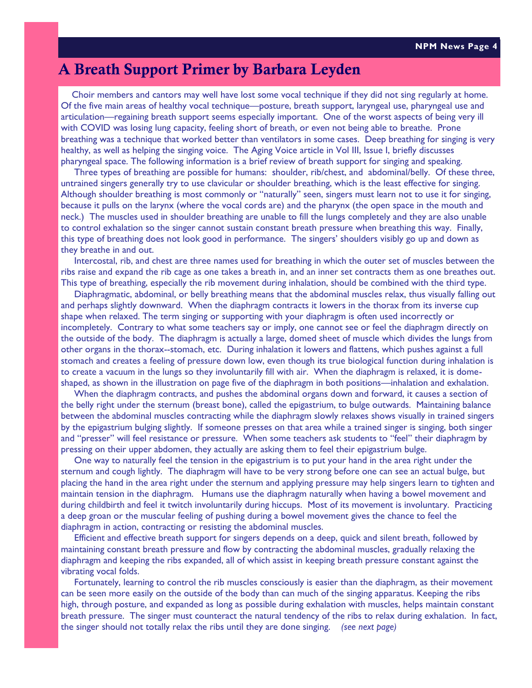# A Breath Support Primer by Barbara Leyden

 Choir members and cantors may well have lost some vocal technique if they did not sing regularly at home. Of the five main areas of healthy vocal technique—posture, breath support, laryngeal use, pharyngeal use and articulation—regaining breath support seems especially important. One of the worst aspects of being very ill with COVID was losing lung capacity, feeling short of breath, or even not being able to breathe. Prone breathing was a technique that worked better than ventilators in some cases. Deep breathing for singing is very healthy, as well as helping the singing voice. The Aging Voice article in Vol III, Issue I, briefly discusses pharyngeal space. The following information is a brief review of breath support for singing and speaking.

 Three types of breathing are possible for humans: shoulder, rib/chest, and abdominal/belly. Of these three, untrained singers generally try to use clavicular or shoulder breathing, which is the least effective for singing. Although shoulder breathing is most commonly or "naturally" seen, singers must learn not to use it for singing, because it pulls on the larynx (where the vocal cords are) and the pharynx (the open space in the mouth and neck.) The muscles used in shoulder breathing are unable to fill the lungs completely and they are also unable to control exhalation so the singer cannot sustain constant breath pressure when breathing this way. Finally, this type of breathing does not look good in performance. The singers' shoulders visibly go up and down as they breathe in and out.

 Intercostal, rib, and chest are three names used for breathing in which the outer set of muscles between the ribs raise and expand the rib cage as one takes a breath in, and an inner set contracts them as one breathes out. This type of breathing, especially the rib movement during inhalation, should be combined with the third type.

 Diaphragmatic, abdominal, or belly breathing means that the abdominal muscles relax, thus visually falling out and perhaps slightly downward. When the diaphragm contracts it lowers in the thorax from its inverse cup shape when relaxed. The term singing or supporting with your diaphragm is often used incorrectly or incompletely. Contrary to what some teachers say or imply, one cannot see or feel the diaphragm directly on the outside of the body. The diaphragm is actually a large, domed sheet of muscle which divides the lungs from other organs in the thorax--stomach, etc. During inhalation it lowers and flattens, which pushes against a full stomach and creates a feeling of pressure down low, even though its true biological function during inhalation is to create a vacuum in the lungs so they involuntarily fill with air. When the diaphragm is relaxed, it is domeshaped, as shown in the illustration on page five of the diaphragm in both positions—inhalation and exhalation.

 When the diaphragm contracts, and pushes the abdominal organs down and forward, it causes a section of the belly right under the sternum (breast bone), called the epigastrium, to bulge outwards. Maintaining balance between the abdominal muscles contracting while the diaphragm slowly relaxes shows visually in trained singers by the epigastrium bulging slightly. If someone presses on that area while a trained singer is singing, both singer and "presser" will feel resistance or pressure. When some teachers ask students to "feel" their diaphragm by pressing on their upper abdomen, they actually are asking them to feel their epigastrium bulge.

 One way to naturally feel the tension in the epigastrium is to put your hand in the area right under the sternum and cough lightly. The diaphragm will have to be very strong before one can see an actual bulge, but placing the hand in the area right under the sternum and applying pressure may help singers learn to tighten and maintain tension in the diaphragm. Humans use the diaphragm naturally when having a bowel movement and during childbirth and feel it twitch involuntarily during hiccups. Most of its movement is involuntary. Practicing a deep groan or the muscular feeling of pushing during a bowel movement gives the chance to feel the diaphragm in action, contracting or resisting the abdominal muscles.

 Efficient and effective breath support for singers depends on a deep, quick and silent breath, followed by maintaining constant breath pressure and flow by contracting the abdominal muscles, gradually relaxing the diaphragm and keeping the ribs expanded, all of which assist in keeping breath pressure constant against the vibrating vocal folds.

 Fortunately, learning to control the rib muscles consciously is easier than the diaphragm, as their movement can be seen more easily on the outside of the body than can much of the singing apparatus. Keeping the ribs high, through posture, and expanded as long as possible during exhalation with muscles, helps maintain constant breath pressure. The singer must counteract the natural tendency of the ribs to relax during exhalation. In fact, the singer should not totally relax the ribs until they are done singing. *(see next page)*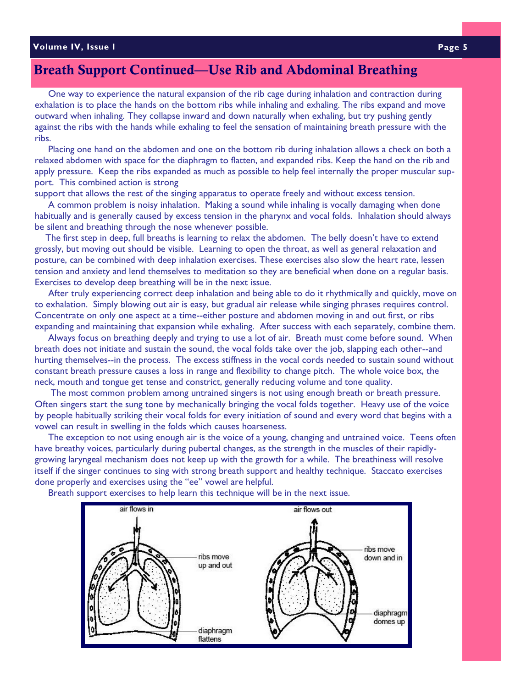#### **Volume IV, Issue I Page 5**

# Breath Support Continued—Use Rib and Abdominal Breathing

 One way to experience the natural expansion of the rib cage during inhalation and contraction during exhalation is to place the hands on the bottom ribs while inhaling and exhaling. The ribs expand and move outward when inhaling. They collapse inward and down naturally when exhaling, but try pushing gently against the ribs with the hands while exhaling to feel the sensation of maintaining breath pressure with the ribs.

 Placing one hand on the abdomen and one on the bottom rib during inhalation allows a check on both a relaxed abdomen with space for the diaphragm to flatten, and expanded ribs. Keep the hand on the rib and apply pressure. Keep the ribs expanded as much as possible to help feel internally the proper muscular support. This combined action is strong

support that allows the rest of the singing apparatus to operate freely and without excess tension.

 A common problem is noisy inhalation. Making a sound while inhaling is vocally damaging when done habitually and is generally caused by excess tension in the pharynx and vocal folds. Inhalation should always be silent and breathing through the nose whenever possible.

 The first step in deep, full breaths is learning to relax the abdomen. The belly doesn't have to extend grossly, but moving out should be visible. Learning to open the throat, as well as general relaxation and posture, can be combined with deep inhalation exercises. These exercises also slow the heart rate, lessen tension and anxiety and lend themselves to meditation so they are beneficial when done on a regular basis. Exercises to develop deep breathing will be in the next issue.

 After truly experiencing correct deep inhalation and being able to do it rhythmically and quickly, move on to exhalation. Simply blowing out air is easy, but gradual air release while singing phrases requires control. Concentrate on only one aspect at a time--either posture and abdomen moving in and out first, or ribs expanding and maintaining that expansion while exhaling. After success with each separately, combine them.

 Always focus on breathing deeply and trying to use a lot of air. Breath must come before sound. When breath does not initiate and sustain the sound, the vocal folds take over the job, slapping each other--and hurting themselves--in the process. The excess stiffness in the vocal cords needed to sustain sound without constant breath pressure causes a loss in range and flexibility to change pitch. The whole voice box, the neck, mouth and tongue get tense and constrict, generally reducing volume and tone quality.

 The most common problem among untrained singers is not using enough breath or breath pressure. Often singers start the sung tone by mechanically bringing the vocal folds together. Heavy use of the voice by people habitually striking their vocal folds for every initiation of sound and every word that begins with a vowel can result in swelling in the folds which causes hoarseness.

 The exception to not using enough air is the voice of a young, changing and untrained voice. Teens often have breathy voices, particularly during pubertal changes, as the strength in the muscles of their rapidlygrowing laryngeal mechanism does not keep up with the growth for a while. The breathiness will resolve itself if the singer continues to sing with strong breath support and healthy technique. Staccato exercises done properly and exercises using the "ee" vowel are helpful.



Breath support exercises to help learn this technique will be in the next issue.